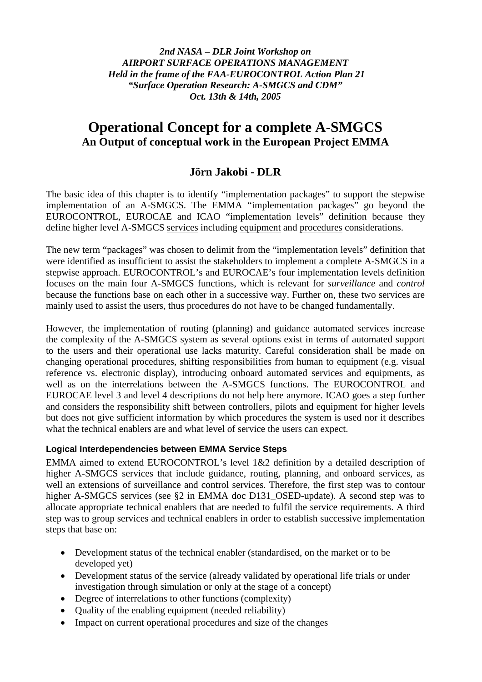*2nd NASA – DLR Joint Workshop on AIRPORT SURFACE OPERATIONS MANAGEMENT Held in the frame of the FAA-EUROCONTROL Action Plan 21 "Surface Operation Research: A-SMGCS and CDM" Oct. 13th & 14th, 2005* 

# **Operational Concept for a complete A-SMGCS An Output of conceptual work in the European Project EMMA**

# **Jörn Jakobi - DLR**

The basic idea of this chapter is to identify "implementation packages" to support the stepwise implementation of an A-SMGCS. The EMMA "implementation packages" go beyond the EUROCONTROL, EUROCAE and ICAO "implementation levels" definition because they define higher level A-SMGCS services including equipment and procedures considerations.

The new term "packages" was chosen to delimit from the "implementation levels" definition that were identified as insufficient to assist the stakeholders to implement a complete A-SMGCS in a stepwise approach. EUROCONTROL's and EUROCAE's four implementation levels definition focuses on the main four A-SMGCS functions, which is relevant for *surveillance* and *control*  because the functions base on each other in a successive way. Further on, these two services are mainly used to assist the users, thus procedures do not have to be changed fundamentally.

However, the implementation of routing (planning) and guidance automated services increase the complexity of the A-SMGCS system as several options exist in terms of automated support to the users and their operational use lacks maturity. Careful consideration shall be made on changing operational procedures, shifting responsibilities from human to equipment (e.g. visual reference vs. electronic display), introducing onboard automated services and equipments, as well as on the interrelations between the A-SMGCS functions. The EUROCONTROL and EUROCAE level 3 and level 4 descriptions do not help here anymore. ICAO goes a step further and considers the responsibility shift between controllers, pilots and equipment for higher levels but does not give sufficient information by which procedures the system is used nor it describes what the technical enablers are and what level of service the users can expect.

#### **Logical Interdependencies between EMMA Service Steps**

EMMA aimed to extend EUROCONTROL's level 1&2 definition by a detailed description of higher A-SMGCS services that include guidance, routing, planning, and onboard services, as well an extensions of surveillance and control services. Therefore, the first step was to contour higher A-SMGCS services (see §2 in EMMA doc D131\_OSED-update). A second step was to allocate appropriate technical enablers that are needed to fulfil the service requirements. A third step was to group services and technical enablers in order to establish successive implementation steps that base on:

- Development status of the technical enabler (standardised, on the market or to be developed yet)
- Development status of the service (already validated by operational life trials or under investigation through simulation or only at the stage of a concept)
- Degree of interrelations to other functions (complexity)
- Quality of the enabling equipment (needed reliability)
- Impact on current operational procedures and size of the changes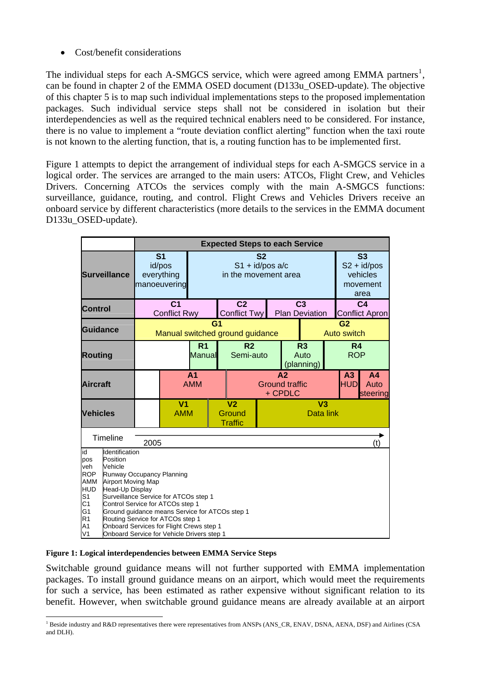• Cost/benefit considerations

The individual steps for each A-SMGCS service, which were agreed among EMMA partners<sup>[1](#page-1-0)</sup>, can be found in chapter 2 of the EMMA OSED document (D133u\_OSED-update). The objective of this chapter 5 is to map such individual implementations steps to the proposed implementation packages. Such individual service steps shall not be considered in isolation but their interdependencies as well as the required technical enablers need to be considered. For instance, there is no value to implement a "route deviation conflict alerting" function when the taxi route is not known to the alerting function, that is, a routing function has to be implemented first.

[Figure 1](#page-1-1) attempts to depict the arrangement of individual steps for each A-SMGCS service in a logical order. The services are arranged to the main users: ATCOs, Flight Crew, and Vehicles Drivers. Concerning ATCOs the services comply with the main A-SMGCS functions: surveillance, guidance, routing, and control. Flight Crews and Vehicles Drivers receive an onboard service by different characteristics (more details to the services in the EMMA document D133u\_OSED-update).

|                                                                                                                                                                                                                                                                                                                                                                                                                                                                                                                                                                  |          | <b>Expected Steps to each Service</b>             |                                                        |                              |                                |                                                               |                               |                                      |                                                                   |                                         |                                    |     |
|------------------------------------------------------------------------------------------------------------------------------------------------------------------------------------------------------------------------------------------------------------------------------------------------------------------------------------------------------------------------------------------------------------------------------------------------------------------------------------------------------------------------------------------------------------------|----------|---------------------------------------------------|--------------------------------------------------------|------------------------------|--------------------------------|---------------------------------------------------------------|-------------------------------|--------------------------------------|-------------------------------------------------------------------|-----------------------------------------|------------------------------------|-----|
| <b>Surveillance</b>                                                                                                                                                                                                                                                                                                                                                                                                                                                                                                                                              |          |                                                   | S <sub>1</sub><br>id/pos<br>everything<br>manoeuvering |                              |                                | S <sub>2</sub><br>$S1 + id / pos a/c$<br>in the movement area |                               |                                      | S <sub>3</sub><br>$S2 + id / pos$<br>vehicles<br>movement<br>area |                                         |                                    |     |
| <b>Control</b>                                                                                                                                                                                                                                                                                                                                                                                                                                                                                                                                                   |          | C <sub>1</sub><br><b>Conflict Rwy</b>             |                                                        |                              | C <sub>2</sub><br>Conflict Twy | C <sub>3</sub><br><b>Plan Deviation</b>                       |                               |                                      |                                                                   | C <sub>4</sub><br><b>Conflict Apron</b> |                                    |     |
| <b>Guidance</b>                                                                                                                                                                                                                                                                                                                                                                                                                                                                                                                                                  |          | G <sub>1</sub><br>Manual switched ground guidance |                                                        |                              |                                |                                                               | G <sub>2</sub><br>Auto switch |                                      |                                                                   |                                         |                                    |     |
| <b>Routing</b>                                                                                                                                                                                                                                                                                                                                                                                                                                                                                                                                                   |          | R <sub>1</sub><br><b>Manual</b>                   |                                                        |                              | R <sub>2</sub><br>Semi-auto    |                                                               |                               | R <sub>3</sub><br>Auto<br>(planning) |                                                                   | R <sub>4</sub><br><b>ROP</b>            |                                    |     |
| <b>Aircraft</b>                                                                                                                                                                                                                                                                                                                                                                                                                                                                                                                                                  |          |                                                   |                                                        | A <sub>1</sub><br><b>AMM</b> |                                | A <sub>2</sub><br><b>Ground traffic</b><br>+ CPDLC            |                               |                                      |                                                                   | A <sub>3</sub><br><b>HUD</b>            | A <sub>4</sub><br>Auto<br>steering |     |
| <b>Vehicles</b>                                                                                                                                                                                                                                                                                                                                                                                                                                                                                                                                                  |          |                                                   | V <sub>1</sub><br><b>AMM</b>                           |                              |                                | V <sub>2</sub><br>Ground<br><b>Traffic</b>                    | V <sub>3</sub><br>Data link   |                                      |                                                                   |                                         |                                    |     |
|                                                                                                                                                                                                                                                                                                                                                                                                                                                                                                                                                                  | Timeline | 2005                                              |                                                        |                              |                                |                                                               |                               |                                      |                                                                   |                                         |                                    | (t) |
| Identification<br>id<br>Position<br>pos<br>Vehicle<br>veh<br><b>ROP</b><br><b>Runway Occupancy Planning</b><br>AMM<br><b>Airport Moving Map</b><br><b>HUD</b><br>Head-Up Display<br>S <sub>1</sub><br>Surveillance Service for ATCOs step 1<br>C <sub>1</sub><br>Control Service for ATCOs step 1<br>G <sub>1</sub><br>Ground guidance means Service for ATCOs step 1<br>R <sub>1</sub><br>Routing Service for ATCOs step 1<br>A <sub>1</sub><br>Onboard Services for Flight Crews step 1<br>V <sub>1</sub><br><b>Onboard Service for Vehicle Drivers step 1</b> |          |                                                   |                                                        |                              |                                |                                                               |                               |                                      |                                                                   |                                         |                                    |     |

<span id="page-1-1"></span>**Figure 1: Logical interdependencies between EMMA Service Steps** 

Switchable ground guidance means will not further supported with EMMA implementation packages. To install ground guidance means on an airport, which would meet the requirements for such a service, has been estimated as rather expensive without significant relation to its benefit. However, when switchable ground guidance means are already available at an airport

<span id="page-1-0"></span> $\overline{a}$ <sup>1</sup> Beside industry and R&D representatives there were representatives from ANSPs (ANS\_CR, ENAV, DSNA, AENA, DSF) and Airlines (CSA and DLH).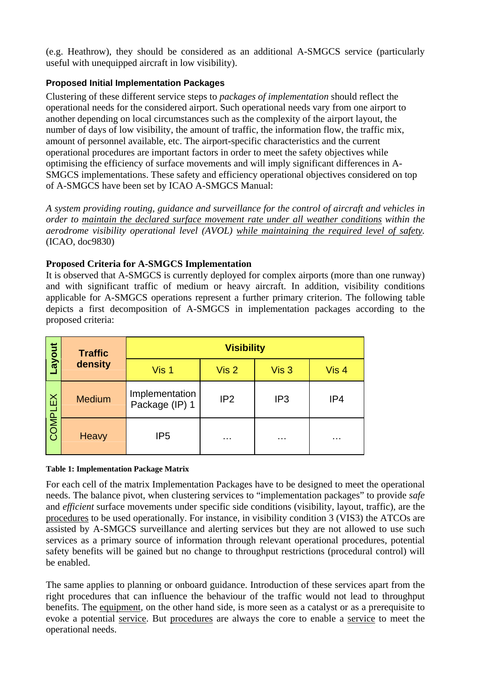(e.g. Heathrow), they should be considered as an additional A-SMGCS service (particularly useful with unequipped aircraft in low visibility).

## **Proposed Initial Implementation Packages**

Clustering of these different service steps to *packages of implementation* should reflect the operational needs for the considered airport. Such operational needs vary from one airport to another depending on local circumstances such as the complexity of the airport layout, the number of days of low visibility, the amount of traffic, the information flow, the traffic mix, amount of personnel available, etc. The airport-specific characteristics and the current operational procedures are important factors in order to meet the safety objectives while optimising the efficiency of surface movements and will imply significant differences in A-SMGCS implementations. These safety and efficiency operational objectives considered on top of A-SMGCS have been set by ICAO A-SMGCS Manual:

*A system providing routing, guidance and surveillance for the control of aircraft and vehicles in order to maintain the declared surface movement rate under all weather conditions within the aerodrome visibility operational level (AVOL) while maintaining the required level of safety.* (ICAO, doc9830)

## **Proposed Criteria for A-SMGCS Implementation**

It is observed that A-SMGCS is currently deployed for complex airports (more than one runway) and with significant traffic of medium or heavy aircraft. In addition, visibility conditions applicable for A-SMGCS operations represent a further primary criterion. The following table depicts a first decomposition of A-SMGCS in implementation packages according to the proposed criteria:

| ayout.         | <b>Traffic</b> | <b>Visibility</b>                |                  |                  |       |  |  |  |
|----------------|----------------|----------------------------------|------------------|------------------|-------|--|--|--|
|                | density        | Vis 1                            | Vis <sub>2</sub> | Vis <sub>3</sub> | Vis 4 |  |  |  |
| <b>COMPLEX</b> | <b>Medium</b>  | Implementation<br>Package (IP) 1 | IP <sub>2</sub>  | IP <sub>3</sub>  | IP4   |  |  |  |
|                | Heavy          | IP <sub>5</sub>                  |                  | $\cdots$         | .     |  |  |  |

#### <span id="page-2-0"></span>**Table 1: Implementation Package Matrix**

For each cell of the matrix Implementation Packages have to be designed to meet the operational needs. The balance pivot, when clustering services to "implementation packages" to provide *safe* and *efficient* surface movements under specific side conditions (visibility, layout, traffic), are the procedures to be used operationally. For instance, in visibility condition 3 (VIS3) the ATCOs are assisted by A-SMGCS surveillance and alerting services but they are not allowed to use such services as a primary source of information through relevant operational procedures, potential safety benefits will be gained but no change to throughput restrictions (procedural control) will be enabled.

The same applies to planning or onboard guidance. Introduction of these services apart from the right procedures that can influence the behaviour of the traffic would not lead to throughput benefits. The equipment, on the other hand side, is more seen as a catalyst or as a prerequisite to evoke a potential service. But procedures are always the core to enable a service to meet the operational needs.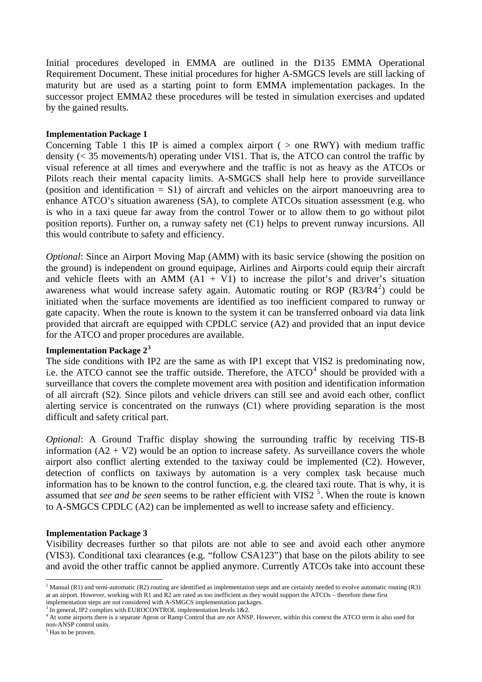Initial procedures developed in EMMA are outlined in the D135 EMMA Operational Requirement Document. These initial procedures for higher A-SMGCS levels are still lacking of maturity but are used as a starting point to form EMMA implementation packages. In the successor project EMMA2 these procedures will be tested in simulation exercises and updated by the gained results.

#### **Implementation Package 1**

Concerning [Table 1](#page-2-0) this IP is aimed a complex airport ( $>$  one RWY) with medium traffic density (< 35 movements/h) operating under VIS1. That is, the ATCO can control the traffic by visual reference at all times and everywhere and the traffic is not as heavy as the ATCOs or Pilots reach their mental capacity limits. A-SMGCS shall help here to provide surveillance (position and identification = S1) of aircraft and vehicles on the airport manoeuvring area to enhance ATCO's situation awareness (SA), to complete ATCOs situation assessment (e.g. who is who in a taxi queue far away from the control Tower or to allow them to go without pilot position reports). Further on, a runway safety net (C1) helps to prevent runway incursions. All this would contribute to safety and efficiency.

*Optional*: Since an Airport Moving Map (AMM) with its basic service (showing the position on the ground) is independent on ground equipage, Airlines and Airports could equip their aircraft and vehicle fleets with an AMM  $(A1 + V1)$  to increase the pilot's and driver's situation awareness what would increase safety again. Automatic routing or ROP  $(R3/R4^2)$  $(R3/R4^2)$  $(R3/R4^2)$  could be initiated when the surface movements are identified as too inefficient compared to runway or gate capacity. When the route is known to the system it can be transferred onboard via data link provided that aircraft are equipped with CPDLC service (A2) and provided that an input device for the ATCO and proper procedures are available.

#### **Implementation Package 2[3](#page-3-1)**

The side conditions with IP2 are the same as with IP1 except that VIS2 is predominating now, i.e. the ATCO cannot see the traffic outside. Therefore, the  $ATCO<sup>4</sup>$  $ATCO<sup>4</sup>$  $ATCO<sup>4</sup>$  should be provided with a surveillance that covers the complete movement area with position and identification information of all aircraft (S2). Since pilots and vehicle drivers can still see and avoid each other, conflict alerting service is concentrated on the runways (C1) where providing separation is the most difficult and safety critical part.

*Optional*: A Ground Traffic display showing the surrounding traffic by receiving TIS-B information  $(A2 + V2)$  would be an option to increase safety. As surveillance covers the whole airport also conflict alerting extended to the taxiway could be implemented (C2). However, detection of conflicts on taxiways by automation is a very complex task because much information has to be known to the control function, e.g. the cleared taxi route. That is why, it is assumed that *see and be seen* seems to be rather efficient with VIS2<sup>[5](#page-3-3)</sup>. When the route is known to A-SMGCS CPDLC (A2) can be implemented as well to increase safety and efficiency.

#### **Implementation Package 3**

Visibility decreases further so that pilots are not able to see and avoid each other anymore (VIS3). Conditional taxi clearances (e.g. "follow CSA123") that base on the pilots ability to see and avoid the other traffic cannot be applied anymore. Currently ATCOs take into account these

 $\overline{a}$ 

<span id="page-3-0"></span><sup>&</sup>lt;sup>2</sup> Manual (R1) and semi-automatic (R2) routing are identified as implementation steps and are certainly needed to evolve automatic routing (R3) at an airport. However, working with R1 and R2 are rated as too inefficient as they would support the ATCOs – therefore these first implementation steps are not considered with A-SMGCS implementation packages. 3

In general, IP2 complies with EUROCONTROL implementation levels  $1&2.2$ .

<span id="page-3-2"></span><span id="page-3-1"></span><sup>&</sup>lt;sup>4</sup> At some airports there is a separate Apron or Ramp Control that are not ANSP. However, within this context the ATCO term is also used for non-ANSP control units.

<span id="page-3-3"></span><sup>&</sup>lt;sup>5</sup> Has to be proven.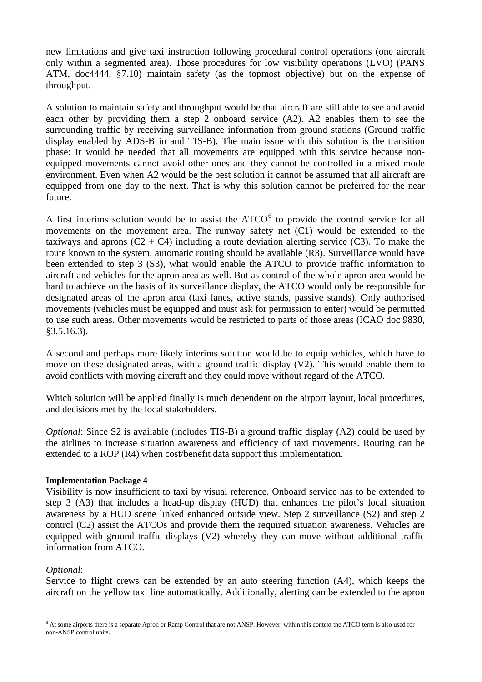new limitations and give taxi instruction following procedural control operations (one aircraft only within a segmented area). Those procedures for low visibility operations (LVO) (PANS ATM, doc4444, §7.10) maintain safety (as the topmost objective) but on the expense of throughput.

A solution to maintain safety and throughput would be that aircraft are still able to see and avoid each other by providing them a step 2 onboard service (A2). A2 enables them to see the surrounding traffic by receiving surveillance information from ground stations (Ground traffic display enabled by ADS-B in and TIS-B). The main issue with this solution is the transition phase: It would be needed that all movements are equipped with this service because nonequipped movements cannot avoid other ones and they cannot be controlled in a mixed mode environment. Even when A2 would be the best solution it cannot be assumed that all aircraft are equipped from one day to the next. That is why this solution cannot be preferred for the near future.

A first interims solution would be to assist the  $\triangle TCO^6$  $\triangle TCO^6$  to provide the control service for all movements on the movement area. The runway safety net (C1) would be extended to the taxiways and aprons  $(C2 + C4)$  including a route deviation alerting service  $(C3)$ . To make the route known to the system, automatic routing should be available (R3). Surveillance would have been extended to step 3 (S3), what would enable the ATCO to provide traffic information to aircraft and vehicles for the apron area as well. But as control of the whole apron area would be hard to achieve on the basis of its surveillance display, the ATCO would only be responsible for designated areas of the apron area (taxi lanes, active stands, passive stands). Only authorised movements (vehicles must be equipped and must ask for permission to enter) would be permitted to use such areas. Other movements would be restricted to parts of those areas (ICAO doc 9830, §3.5.16.3).

A second and perhaps more likely interims solution would be to equip vehicles, which have to move on these designated areas, with a ground traffic display (V2). This would enable them to avoid conflicts with moving aircraft and they could move without regard of the ATCO.

Which solution will be applied finally is much dependent on the airport layout, local procedures, and decisions met by the local stakeholders.

*Optional:* Since S2 is available (includes TIS-B) a ground traffic display (A2) could be used by the airlines to increase situation awareness and efficiency of taxi movements. Routing can be extended to a ROP (R4) when cost/benefit data support this implementation.

#### **Implementation Package 4**

Visibility is now insufficient to taxi by visual reference. Onboard service has to be extended to step 3 (A3) that includes a head-up display (HUD) that enhances the pilot's local situation awareness by a HUD scene linked enhanced outside view. Step 2 surveillance (S2) and step 2 control (C2) assist the ATCOs and provide them the required situation awareness. Vehicles are equipped with ground traffic displays (V2) whereby they can move without additional traffic information from ATCO.

#### *Optional*:

Service to flight crews can be extended by an auto steering function (A4), which keeps the aircraft on the yellow taxi line automatically. Additionally, alerting can be extended to the apron

<span id="page-4-0"></span> $\overline{a}$ <sup>6</sup> At some airports there is a separate Apron or Ramp Control that are not ANSP. However, within this context the ATCO term is also used for non-ANSP control units.